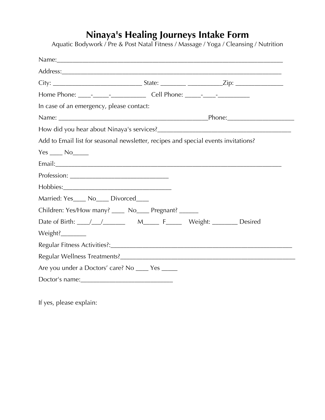# **Ninaya's Healing Journeys Intake Form**

Aquatic Bodywork / Pre & Post Natal Fitness / Massage / Yoga / Cleansing / Nutrition

| In case of an emergency, please contact:                                           |  |
|------------------------------------------------------------------------------------|--|
|                                                                                    |  |
|                                                                                    |  |
| Add to Email list for seasonal newsletter, recipes and special events invitations? |  |
| $Yes$ $No$ $No$                                                                    |  |
|                                                                                    |  |
|                                                                                    |  |
|                                                                                    |  |
| Married: Yes____ No____ Divorced____                                               |  |
| Children: Yes/How many? _____ No____ Pregnant? ______                              |  |
|                                                                                    |  |
| Weight?                                                                            |  |
|                                                                                    |  |
|                                                                                    |  |
| Are you under a Doctors' care? No _____ Yes _____                                  |  |
|                                                                                    |  |

If yes, please explain: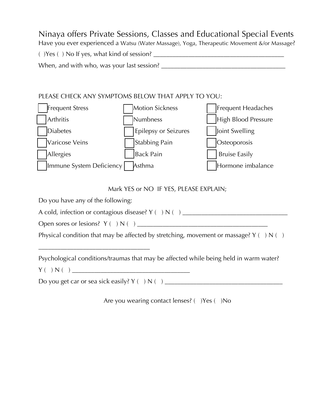### Ninaya offers Private Sessions, Classes and Educational Special Events Have you ever experienced a Watsu (Water Massage), Yoga, Therapeutic Movement &/or Massage? ( )Yes ( ) No If yes, what kind of session? \_\_\_\_\_\_\_\_\_\_\_\_\_\_\_\_\_\_\_\_\_\_\_\_\_\_\_\_\_\_\_\_\_\_\_\_\_\_\_\_\_ When, and with who, was your last session? \_\_\_\_\_\_\_\_\_\_\_\_\_\_\_\_\_\_\_\_\_\_\_\_\_\_\_\_\_\_\_\_\_\_\_\_\_\_\_

#### PLEASE CHECK ANY SYMPTOMS BELOW THAT APPLY TO YOU:



Mark YES or NO IF YES, PLEASE EXPLAIN;

Do you have any of the following:

| A cold, infection or contagious disease? $Y( ) N( )$ |  |  |
|------------------------------------------------------|--|--|
|                                                      |  |  |

Open sores or lesions? Y ( ) N ( ) \_\_\_\_\_\_\_\_\_\_\_\_\_\_\_\_\_\_\_\_\_\_\_\_\_\_\_\_\_\_\_\_\_\_\_\_\_\_\_\_\_

\_\_\_\_\_\_\_\_\_\_\_\_\_\_\_\_\_\_\_\_\_\_\_\_\_\_\_\_\_\_\_\_\_\_\_

Physical condition that may be affected by stretching, movement or massage?  $Y(\ )\ N(\ )$ 

Psychological conditions/traumas that may be affected while being held in warm water? Y ( ) N ( ) \_\_\_\_\_\_\_\_\_\_\_\_\_\_\_\_\_\_\_\_\_\_\_\_\_\_\_\_\_\_\_\_\_\_\_\_\_

Do you get car or sea sick easily? Y ( ) N ( ) \_\_\_\_\_\_\_\_\_\_\_\_\_\_\_\_\_\_\_\_\_\_\_\_\_\_\_\_\_\_\_\_\_\_\_\_\_

Are you wearing contact lenses? ( )Yes ( )No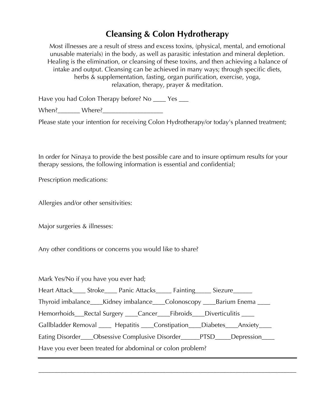## **Cleansing & Colon Hydrotherapy**

Most illnesses are a result of stress and excess toxins, (physical, mental, and emotional unusable materials) in the body, as well as parasitic infestation and mineral depletion. Healing is the elimination, or cleansing of these toxins, and then achieving a balance of intake and output. Cleansing can be achieved in many ways; through specific diets, herbs & supplementation, fasting, organ purification, exercise, yoga, relaxation, therapy, prayer & meditation.

Have you had Colon Therapy before? No \_\_\_\_ Yes \_\_\_

When? Where?

Please state your intention for receiving Colon Hydrotherapy/or today's planned treatment;

In order for Ninaya to provide the best possible care and to insure optimum results for your therapy sessions, the following information is essential and confidential;

Prescription medications:

Allergies and/or other sensitivities:

Major surgeries & illnesses:

Any other conditions or concerns you would like to share?

Mark Yes/No if you have you ever had; Heart Attack \_\_\_\_ Stroke \_\_\_\_ Panic Attacks \_\_\_\_ Fainting \_\_\_\_\_ Siezure Thyroid imbalance\_\_\_\_Kidney imbalance\_\_\_\_Colonoscopy \_\_\_\_Barium Enema \_\_\_\_\_ Hemorrhoids\_\_\_Rectal Surgery \_\_\_\_Cancer\_\_\_\_Fibroids\_\_\_\_Diverticulitis \_\_\_\_ Gallbladder Removal \_\_\_\_ Hepatitis \_\_\_\_Constipation\_\_\_\_Diabetes\_\_\_\_Anxiety\_\_\_\_ Eating Disorder\_\_\_\_Obsessive Complusive Disorder\_\_\_\_\_PTSD\_\_\_\_Depression\_\_\_\_ Have you ever been treated for abdominal or colon problem?

\_\_\_\_\_\_\_\_\_\_\_\_\_\_\_\_\_\_\_\_\_\_\_\_\_\_\_\_\_\_\_\_\_\_\_\_\_\_\_\_\_\_\_\_\_\_\_\_\_\_\_\_\_\_\_\_\_\_\_\_\_\_\_\_\_\_\_\_\_\_\_\_\_\_\_\_\_\_\_\_\_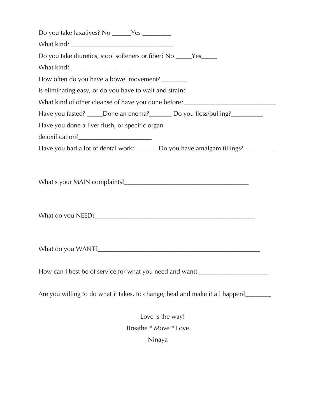| Do you take laxatives? No ______Yes ________                                      |
|-----------------------------------------------------------------------------------|
|                                                                                   |
| Do you take diuretics, stool softeners or fiber? No _____Yes_____                 |
| What kind? ______________________                                                 |
| How often do you have a bowel movement?                                           |
| Is eliminating easy, or do you have to wait and strain? ________________________  |
| What kind of other cleanse of have you done before?_____________________________  |
| Have you fasted? _____Done an enema? ________ Do you floss/pulling? ____________  |
| Have you done a liver flush, or specific organ                                    |
|                                                                                   |
| Have you had a lot of dental work?________ Do you have amalgam fillings?_________ |
|                                                                                   |
|                                                                                   |
|                                                                                   |
| How can I best be of service for what you need and want?________________________  |
| Are you willing to do what it takes, to change, heal and make it all happen?____  |
| Love is the way!                                                                  |
| Breathe * Move * Love                                                             |

Ninaya